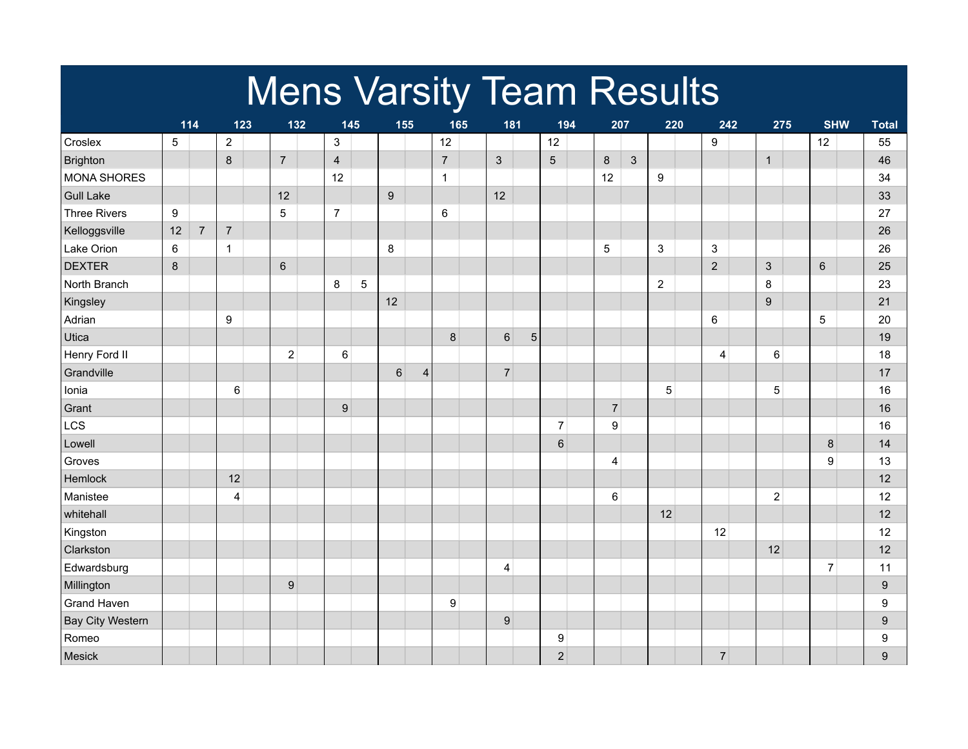| <b>Mens Varsity Team Results</b><br>114<br>123<br>132<br>145<br>165<br>181<br>194<br>155<br>207<br>220<br>242<br>275<br><b>SHW</b> |    |                |                |  |                  |                |   |   |                |                |                |  |                |   |                |                |                |                |                  |                |                |  |              |
|------------------------------------------------------------------------------------------------------------------------------------|----|----------------|----------------|--|------------------|----------------|---|---|----------------|----------------|----------------|--|----------------|---|----------------|----------------|----------------|----------------|------------------|----------------|----------------|--|--------------|
|                                                                                                                                    |    |                |                |  |                  |                |   |   |                |                |                |  |                |   |                |                |                |                |                  |                |                |  | <b>Total</b> |
| Croslex                                                                                                                            | 5  |                | $\overline{2}$ |  |                  | 3              |   |   |                |                | 12             |  |                |   | 12             |                |                |                | $\boldsymbol{9}$ |                | 12             |  | 55           |
| Brighton                                                                                                                           |    |                | 8              |  | $\overline{7}$   | $\overline{4}$ |   |   |                |                | $\overline{7}$ |  | $\mathbf{3}$   |   | 5              | 8              | $\mathfrak{S}$ |                |                  | $\mathbf{1}$   |                |  | 46           |
| MONA SHORES                                                                                                                        |    |                |                |  |                  | 12             |   |   |                |                | $\mathbf{1}$   |  |                |   |                | 12             |                | 9              |                  |                |                |  | 34           |
| Gull Lake                                                                                                                          |    |                |                |  | 12               |                |   |   | $\overline{9}$ |                |                |  | 12             |   |                |                |                |                |                  |                |                |  | 33           |
| <b>Three Rivers</b>                                                                                                                | 9  |                |                |  | 5                | $\overline{7}$ |   |   |                |                | 6              |  |                |   |                |                |                |                |                  |                |                |  | 27           |
| Kelloggsville                                                                                                                      | 12 | $\overline{7}$ | $\overline{7}$ |  |                  |                |   |   |                |                |                |  |                |   |                |                |                |                |                  |                |                |  | 26           |
| Lake Orion                                                                                                                         | 6  |                | $\mathbf{1}$   |  |                  |                |   |   | 8              |                |                |  |                |   |                | 5              |                | 3              | 3                |                |                |  | 26           |
| <b>DEXTER</b>                                                                                                                      | 8  |                |                |  | $6\phantom{1}$   |                |   |   |                |                |                |  |                |   |                |                |                |                | $\overline{2}$   | 3              | 6              |  | 25           |
| North Branch                                                                                                                       |    |                |                |  |                  | 8              |   | 5 |                |                |                |  |                |   |                |                |                | $\overline{2}$ |                  | 8              |                |  | 23           |
| Kingsley                                                                                                                           |    |                |                |  |                  |                |   |   | 12             |                |                |  |                |   |                |                |                |                |                  | 9              |                |  | 21           |
| Adrian                                                                                                                             |    |                | 9              |  |                  |                |   |   |                |                |                |  |                |   |                |                |                |                | 6                |                | 5              |  | 20           |
| Utica                                                                                                                              |    |                |                |  |                  |                |   |   |                |                | 8              |  | $\,6$          | 5 |                |                |                |                |                  |                |                |  | 19           |
| Henry Ford II                                                                                                                      |    |                |                |  | $\boldsymbol{2}$ |                | 6 |   |                |                |                |  |                |   |                |                |                |                | 4                | 6              |                |  | 18           |
| Grandville                                                                                                                         |    |                |                |  |                  |                |   |   | 6              | $\overline{4}$ |                |  | $\overline{7}$ |   |                |                |                |                |                  |                |                |  | 17           |
| Ionia                                                                                                                              |    |                | 6              |  |                  |                |   |   |                |                |                |  |                |   |                |                |                | 5              |                  | 5              |                |  | 16           |
| Grant                                                                                                                              |    |                |                |  |                  |                | 9 |   |                |                |                |  |                |   |                | $\overline{7}$ |                |                |                  |                |                |  | 16           |
| LCS                                                                                                                                |    |                |                |  |                  |                |   |   |                |                |                |  |                |   | $\overline{7}$ | 9              |                |                |                  |                |                |  | 16           |
| Lowell                                                                                                                             |    |                |                |  |                  |                |   |   |                |                |                |  |                |   | $6\phantom{1}$ |                |                |                |                  |                | 8              |  | 14           |
| Groves                                                                                                                             |    |                |                |  |                  |                |   |   |                |                |                |  |                |   |                | 4              |                |                |                  |                | 9              |  | 13           |
| Hemlock                                                                                                                            |    |                | 12             |  |                  |                |   |   |                |                |                |  |                |   |                |                |                |                |                  |                |                |  | 12           |
| Manistee                                                                                                                           |    |                | 4              |  |                  |                |   |   |                |                |                |  |                |   |                | 6              |                |                |                  | $\overline{2}$ |                |  | 12           |
| whitehall                                                                                                                          |    |                |                |  |                  |                |   |   |                |                |                |  |                |   |                |                |                | 12             |                  |                |                |  | 12           |
| Kingston                                                                                                                           |    |                |                |  |                  |                |   |   |                |                |                |  |                |   |                |                |                |                | 12               |                |                |  | 12           |
| Clarkston                                                                                                                          |    |                |                |  |                  |                |   |   |                |                |                |  |                |   |                |                |                |                |                  | 12             |                |  | 12           |
| Edwardsburg                                                                                                                        |    |                |                |  |                  |                |   |   |                |                |                |  | 4              |   |                |                |                |                |                  |                | $\overline{7}$ |  | 11           |
| Millington                                                                                                                         |    |                |                |  | 9                |                |   |   |                |                |                |  |                |   |                |                |                |                |                  |                |                |  | 9            |
| <b>Grand Haven</b>                                                                                                                 |    |                |                |  |                  |                |   |   |                |                | 9              |  |                |   |                |                |                |                |                  |                |                |  | 9            |
| <b>Bay City Western</b>                                                                                                            |    |                |                |  |                  |                |   |   |                |                |                |  | 9              |   |                |                |                |                |                  |                |                |  | 9            |
| Romeo                                                                                                                              |    |                |                |  |                  |                |   |   |                |                |                |  |                |   | 9              |                |                |                |                  |                |                |  | 9            |
| Mesick                                                                                                                             |    |                |                |  |                  |                |   |   |                |                |                |  |                |   | $\sqrt{2}$     |                |                |                | $\overline{7}$   |                |                |  | 9            |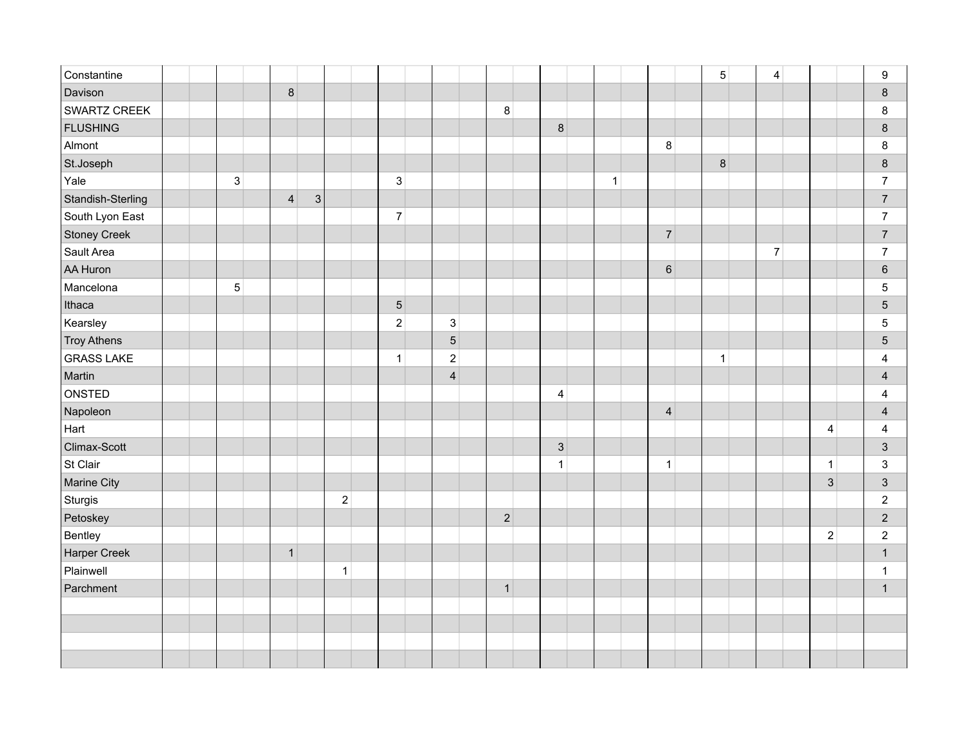| Constantine       |            |                |              |                |                |                |              |              |              |                | $\sqrt{5}$   | 4              |                         | 9               |
|-------------------|------------|----------------|--------------|----------------|----------------|----------------|--------------|--------------|--------------|----------------|--------------|----------------|-------------------------|-----------------|
| Davison           |            | $\bf 8$        |              |                |                |                |              |              |              |                |              |                |                         | 8               |
| SWARTZ CREEK      |            |                |              |                |                |                | $\bf 8$      |              |              |                |              |                |                         | 8               |
| <b>FLUSHING</b>   |            |                |              |                |                |                |              | $\bf 8$      |              |                |              |                |                         | 8               |
| Almont            |            |                |              |                |                |                |              |              |              | $\bf 8$        |              |                |                         | 8               |
| St.Joseph         |            |                |              |                |                |                |              |              |              |                | $\bf 8$      |                |                         | 8               |
| Yale              | $\sqrt{3}$ |                |              |                | $\mathsf 3$    |                |              |              | $\mathbf{1}$ |                |              |                |                         | $\overline{7}$  |
| Standish-Sterling |            | $\overline{4}$ | $\mathbf{3}$ |                |                |                |              |              |              |                |              |                |                         | $\overline{7}$  |
| South Lyon East   |            |                |              |                | $\overline{7}$ |                |              |              |              |                |              |                |                         | $\overline{7}$  |
| Stoney Creek      |            |                |              |                |                |                |              |              |              | $\overline{7}$ |              |                |                         | $\overline{7}$  |
| Sault Area        |            |                |              |                |                |                |              |              |              |                |              | $\overline{7}$ |                         | $\overline{7}$  |
| AA Huron          |            |                |              |                |                |                |              |              |              | $\,6\,$        |              |                |                         | $6\phantom{a}$  |
| Mancelona         | $\sqrt{5}$ |                |              |                |                |                |              |              |              |                |              |                |                         | 5               |
| Ithaca            |            |                |              |                | $\sqrt{5}$     |                |              |              |              |                |              |                |                         | $5\overline{)}$ |
| Kearsley          |            |                |              |                | $\overline{2}$ | $\mathbf{3}$   |              |              |              |                |              |                |                         | 5               |
| Troy Athens       |            |                |              |                |                | $\sqrt{5}$     |              |              |              |                |              |                |                         | $5\overline{)}$ |
| <b>GRASS LAKE</b> |            |                |              |                | $\mathbf 1$    | $\overline{2}$ |              |              |              |                | $\mathbf{1}$ |                |                         | 4               |
| Martin            |            |                |              |                |                | $\overline{4}$ |              |              |              |                |              |                |                         | $\overline{4}$  |
| ONSTED            |            |                |              |                |                |                |              | 4            |              |                |              |                |                         | 4               |
| Napoleon          |            |                |              |                |                |                |              |              |              | $\overline{4}$ |              |                |                         | 4               |
| Hart              |            |                |              |                |                |                |              |              |              |                |              |                | $\overline{\mathbf{4}}$ | 4               |
| Climax-Scott      |            |                |              |                |                |                |              | $\sqrt{3}$   |              |                |              |                |                         | $\mathbf{3}$    |
| St Clair          |            |                |              |                |                |                |              | $\mathbf{1}$ |              | $\mathbf 1$    |              |                | $\mathbf{1}$            | 3               |
| Marine City       |            |                |              |                |                |                |              |              |              |                |              |                | $\overline{3}$          | $\mathbf{3}$    |
| Sturgis           |            |                |              | $\overline{2}$ |                |                |              |              |              |                |              |                |                         | $\overline{2}$  |
| Petoskey          |            |                |              |                |                |                | $\sqrt{2}$   |              |              |                |              |                |                         | $\overline{2}$  |
| Bentley           |            |                |              |                |                |                |              |              |              |                |              |                | $\overline{2}$          | $\overline{2}$  |
| Harper Creek      |            | $\mathbf{1}$   |              |                |                |                |              |              |              |                |              |                |                         | $\mathbf{1}$    |
| Plainwell         |            |                |              | $\mathbf{1}$   |                |                |              |              |              |                |              |                |                         | 1               |
| Parchment         |            |                |              |                |                |                | $\mathbf{1}$ |              |              |                |              |                |                         | $\mathbf{1}$    |
|                   |            |                |              |                |                |                |              |              |              |                |              |                |                         |                 |
|                   |            |                |              |                |                |                |              |              |              |                |              |                |                         |                 |
|                   |            |                |              |                |                |                |              |              |              |                |              |                |                         |                 |
|                   |            |                |              |                |                |                |              |              |              |                |              |                |                         |                 |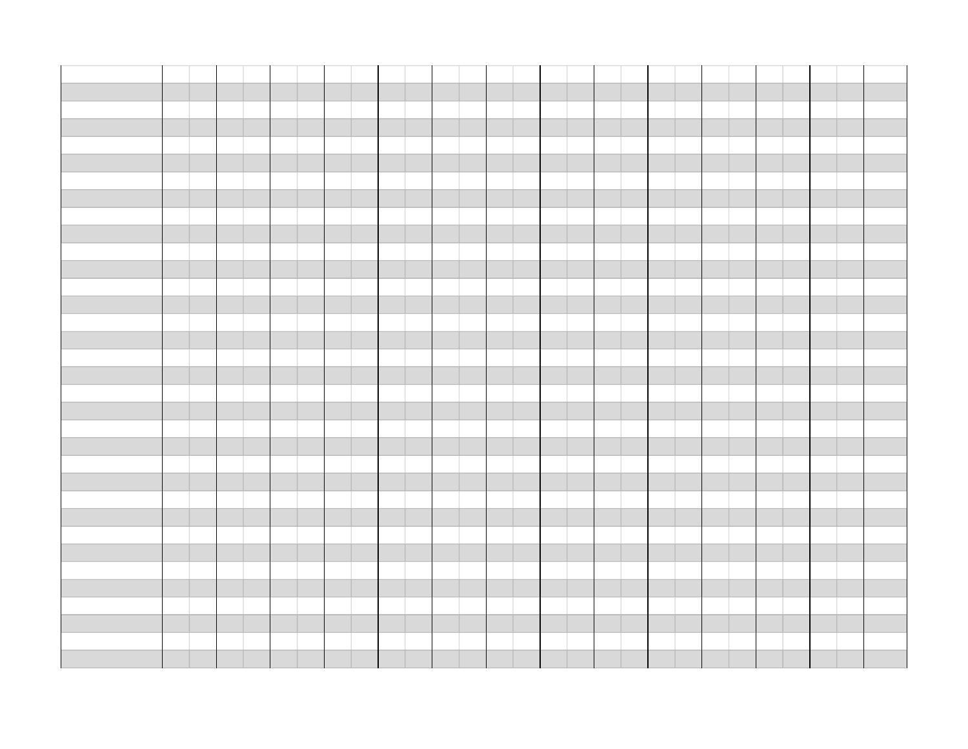| $\blacklozenge$<br>a a Tingga<br>$\mathbb{R}^n$ |
|-------------------------------------------------|
|                                                 |
|                                                 |
|                                                 |
|                                                 |
|                                                 |
|                                                 |
|                                                 |
|                                                 |
|                                                 |
|                                                 |
|                                                 |
|                                                 |
|                                                 |
|                                                 |
|                                                 |
|                                                 |
|                                                 |
|                                                 |
|                                                 |
|                                                 |
|                                                 |
|                                                 |
|                                                 |
|                                                 |
|                                                 |
|                                                 |
|                                                 |
|                                                 |
|                                                 |
|                                                 |
|                                                 |
|                                                 |
|                                                 |
|                                                 |
|                                                 |
|                                                 |
|                                                 |
|                                                 |
|                                                 |
|                                                 |
|                                                 |
|                                                 |
|                                                 |
|                                                 |
|                                                 |
|                                                 |
|                                                 |
|                                                 |
|                                                 |
|                                                 |